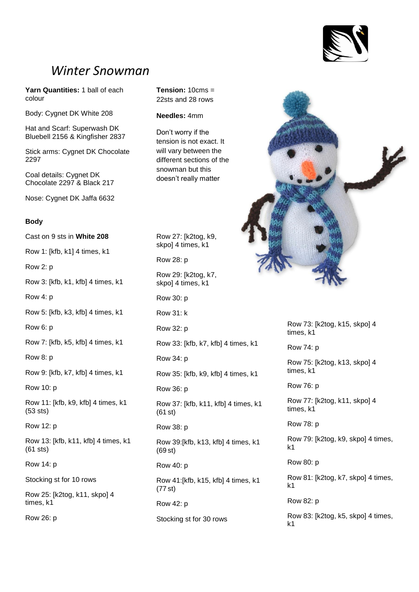

# *Winter Snowman*

**Yarn Quantities:** 1 ball of each colour

Body: Cygnet DK White 208

Hat and Scarf: Superwash DK Bluebell 2156 & Kingfisher 2837

Stick arms: Cygnet DK Chocolate 2297

Coal details: Cygnet DK Chocolate 2297 & Black 217

Nose: Cygnet DK Jaffa 6632

#### **Body**

Cast on 9 sts in **White 208**

Row 1: [kfb, k1] 4 times, k1

Row 2: p

Row 3: [kfb, k1, kfb] 4 times, k1

Row 4: p

Row 5: [kfb, k3, kfb] 4 times, k1

Row 6: p

Row 7: [kfb, k5, kfb] 4 times, k1

Row 8: p

Row 9: [kfb, k7, kfb] 4 times, k1

Row 10: p

Row 11: [kfb, k9, kfb] 4 times, k1 (53 sts)

Row 12: p

Row 13: [kfb, k11, kfb] 4 times, k1 (61 sts)

Row 14: p

Stocking st for 10 rows

Row 25: [k2tog, k11, skpo] 4 times, k1

Row 26: p

**Tension:** 10cms = 22sts and 28 rows

# **Needles:** 4mm

Don't worry if the tension is not exact. It will vary between the different sections of the snowman but this doesn't really matter

Row 27: [k2tog, k9, skpo] 4 times, k1

Row 28: p

Row 29: [k2tog, k7, skpo] 4 times, k1

Row 30: p

Row 31: k

Row 32: p

Row 33: [kfb, k7, kfb] 4 times, k1

Row 34: p

Row 35: [kfb, k9, kfb] 4 times, k1

Row 36: p

Row 37: [kfb, k11, kfb] 4 times, k1 (61 st)

Row 38: p

Row 39:[kfb, k13, kfb] 4 times, k1 (69 st)

Row 40: p

Row 41:[kfb, k15, kfb] 4 times, k1 (77 st)

Row 42: p

Stocking st for 30 rows



Row 73: [k2tog, k15, skpo] 4 times, k1

Row 74: p

Row 75: [k2tog, k13, skpo] 4 times, k1

Row 76: p

Row 77: [k2tog, k11, skpo] 4 times, k1

Row 78: p

Row 79: [k2tog, k9, skpo] 4 times, k1

Row 80: p

Row 81: [k2tog, k7, skpo] 4 times, k1

Row 82: p

Row 83: [k2tog, k5, skpo] 4 times, k1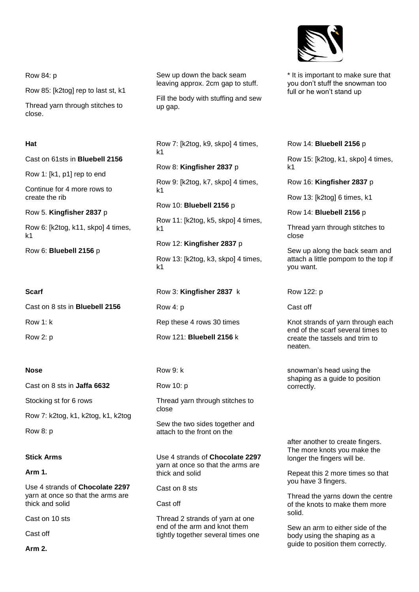Row 84: p

Row 85: [k2tog] rep to last st, k1

Thread yarn through stitches to close.

### **Hat**

Cast on 61sts in **Bluebell 2156**

Row 1: [k1, p1] rep to end

Continue for 4 more rows to create the rib

Row 5. **Kingfisher 2837** p

Row 6: [k2tog, k11, skpo] 4 times, k1

Row 6: **Bluebell 2156** p

### **Scarf**

Cast on 8 sts in **Bluebell 2156** Row 1: k Row 2: p

#### **Nose**

Cast on 8 sts in **Jaffa 6632**

Stocking st for 6 rows

Row 7: k2tog, k1, k2tog, k1, k2tog

Row 8: p

# **Stick Arms**

**Arm 1.**

Use 4 strands of **Chocolate 2297**  yarn at once so that the arms are thick and solid

Cast on 10 sts

Cast off

**Arm 2.**

Sew up down the back seam leaving approx. 2cm gap to stuff.

Fill the body with stuffing and sew up gap.

Row 7: [k2tog, k9, skpo] 4 times, k1

Row 8: **Kingfisher 2837** p

Row 9: [k2tog, k7, skpo] 4 times, k1

Row 10: **Bluebell 2156** p

Row 11: [k2tog, k5, skpo] 4 times, k1

Row 12: **Kingfisher 2837** p Row 13: [k2tog, k3, skpo] 4 times, k1

Row 3: **Kingfisher 2837** k

Row 4: p

Rep these 4 rows 30 times

Row 121: **Bluebell 2156** k

### Row 9: k

Row 10: p

Thread yarn through stitches to close

Sew the two sides together and attach to the front on the

Use 4 strands of **Chocolate 2297**  yarn at once so that the arms are thick and solid

Cast on 8 sts

Cast off

Thread 2 strands of yarn at one end of the arm and knot them tightly together several times one



\* It is important to make sure that you don't stuff the snowman too full or he won't stand up

Row 14: **Bluebell 2156** p

Row 15: [k2tog, k1, skpo] 4 times, k1

Row 16: **Kingfisher 2837** p

Row 13: [k2tog] 6 times, k1

Row 14: **Bluebell 2156** p

Thread yarn through stitches to close

Sew up along the back seam and attach a little pompom to the top if you want.

Row 122: p

Cast off

Knot strands of yarn through each end of the scarf several times to create the tassels and trim to neaten.

snowman's head using the shaping as a guide to position correctly.

after another to create fingers. The more knots you make the longer the fingers will be.

Repeat this 2 more times so that you have 3 fingers.

Thread the yarns down the centre of the knots to make them more solid.

Sew an arm to either side of the body using the shaping as a guide to position them correctly.